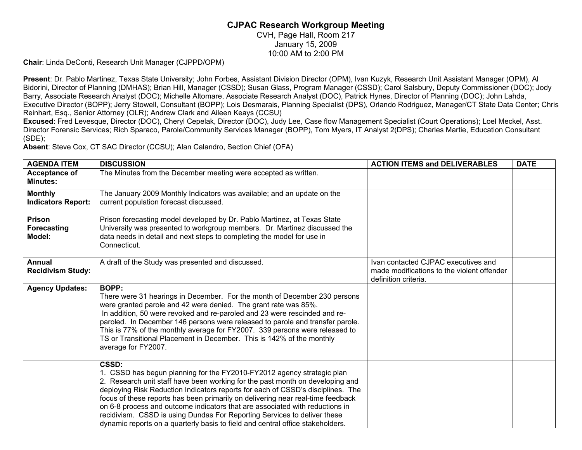## **CJPAC Research Workgroup Meeting**

CVH, Page Hall, Room 217 January 15, 2009 10:00 AM to 2:00 PM

**Chair**: Linda DeConti, Research Unit Manager (CJPPD/OPM)

**Present**: Dr. Pablo Martinez, Texas State University; John Forbes, Assistant Division Director (OPM), Ivan Kuzyk, Research Unit Assistant Manager (OPM), Al Bidorini, Director of Planning (DMHAS); Brian Hill, Manager (CSSD); Susan Glass, Program Manager (CSSD); Carol Salsbury, Deputy Commissioner (DOC); Jody Barry, Associate Research Analyst (DOC); Michelle Altomare, Associate Research Analyst (DOC), Patrick Hynes, Director of Planning (DOC); John Lahda, Executive Director (BOPP); Jerry Stowell, Consultant (BOPP); Lois Desmarais, Planning Specialist (DPS), Orlando Rodriguez, Manager/CT State Data Center; Chris Reinhart, Esq., Senior Attorney (OLR); Andrew Clark and Aileen Keays (CCSU)

**Excused**: Fred Levesque, Director (DOC), Cheryl Cepelak, Director (DOC), Judy Lee, Case flow Management Specialist (Court Operations); Loel Meckel, Asst. Director Forensic Services; Rich Sparaco, Parole/Community Services Manager (BOPP), Tom Myers, IT Analyst 2(DPS); Charles Martie, Education Consultant (SDE);

**Absent**: Steve Cox, CT SAC Director (CCSU); Alan Calandro, Section Chief (OFA)

| <b>AGENDA ITEM</b>                          | <b>DISCUSSION</b>                                                                                                                                                                                                                                                                                                                                                                                                                                                                                                                                                                    | <b>ACTION ITEMS and DELIVERABLES</b>                                                                      | <b>DATE</b> |
|---------------------------------------------|--------------------------------------------------------------------------------------------------------------------------------------------------------------------------------------------------------------------------------------------------------------------------------------------------------------------------------------------------------------------------------------------------------------------------------------------------------------------------------------------------------------------------------------------------------------------------------------|-----------------------------------------------------------------------------------------------------------|-------------|
| <b>Acceptance of</b><br><b>Minutes:</b>     | The Minutes from the December meeting were accepted as written.                                                                                                                                                                                                                                                                                                                                                                                                                                                                                                                      |                                                                                                           |             |
| <b>Monthly</b><br><b>Indicators Report:</b> | The January 2009 Monthly Indicators was available; and an update on the<br>current population forecast discussed.                                                                                                                                                                                                                                                                                                                                                                                                                                                                    |                                                                                                           |             |
| Prison<br>Forecasting<br>Model:             | Prison forecasting model developed by Dr. Pablo Martinez, at Texas State<br>University was presented to workgroup members. Dr. Martinez discussed the<br>data needs in detail and next steps to completing the model for use in<br>Connecticut.                                                                                                                                                                                                                                                                                                                                      |                                                                                                           |             |
| <b>Annual</b><br><b>Recidivism Study:</b>   | A draft of the Study was presented and discussed.                                                                                                                                                                                                                                                                                                                                                                                                                                                                                                                                    | Ivan contacted CJPAC executives and<br>made modifications to the violent offender<br>definition criteria. |             |
| <b>Agency Updates:</b>                      | <b>BOPP:</b><br>There were 31 hearings in December. For the month of December 230 persons<br>were granted parole and 42 were denied. The grant rate was 85%.<br>In addition, 50 were revoked and re-paroled and 23 were rescinded and re-<br>paroled. In December 146 persons were released to parole and transfer parole.<br>This is 77% of the monthly average for FY2007. 339 persons were released to<br>TS or Transitional Placement in December. This is 142% of the monthly<br>average for FY2007.                                                                            |                                                                                                           |             |
|                                             | CSSD:<br>1. CSSD has begun planning for the FY2010-FY2012 agency strategic plan<br>2. Research unit staff have been working for the past month on developing and<br>deploying Risk Reduction Indicators reports for each of CSSD's disciplines. The<br>focus of these reports has been primarily on delivering near real-time feedback<br>on 6-8 process and outcome indicators that are associated with reductions in<br>recidivism. CSSD is using Dundas For Reporting Services to deliver these<br>dynamic reports on a quarterly basis to field and central office stakeholders. |                                                                                                           |             |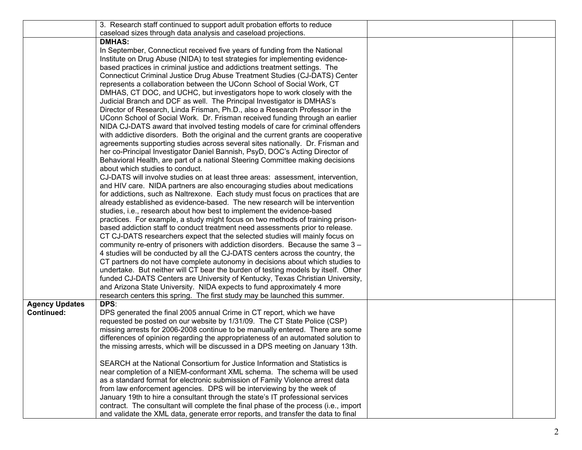|                       | 3. Research staff continued to support adult probation efforts to reduce                                                                              |  |
|-----------------------|-------------------------------------------------------------------------------------------------------------------------------------------------------|--|
|                       | caseload sizes through data analysis and caseload projections.                                                                                        |  |
|                       | <b>DMHAS:</b>                                                                                                                                         |  |
|                       | In September, Connecticut received five years of funding from the National                                                                            |  |
|                       | Institute on Drug Abuse (NIDA) to test strategies for implementing evidence-                                                                          |  |
|                       | based practices in criminal justice and addictions treatment settings. The                                                                            |  |
|                       | Connecticut Criminal Justice Drug Abuse Treatment Studies (CJ-DATS) Center                                                                            |  |
|                       | represents a collaboration between the UConn School of Social Work, CT                                                                                |  |
|                       | DMHAS, CT DOC, and UCHC, but investigators hope to work closely with the                                                                              |  |
|                       | Judicial Branch and DCF as well. The Principal Investigator is DMHAS's                                                                                |  |
|                       | Director of Research, Linda Frisman, Ph.D., also a Research Professor in the                                                                          |  |
|                       | UConn School of Social Work. Dr. Frisman received funding through an earlier                                                                          |  |
|                       | NIDA CJ-DATS award that involved testing models of care for criminal offenders                                                                        |  |
|                       | with addictive disorders. Both the original and the current grants are cooperative                                                                    |  |
|                       | agreements supporting studies across several sites nationally. Dr. Frisman and                                                                        |  |
|                       | her co-Principal Investigator Daniel Bannish, PsyD, DOC's Acting Director of                                                                          |  |
|                       | Behavioral Health, are part of a national Steering Committee making decisions                                                                         |  |
|                       | about which studies to conduct.                                                                                                                       |  |
|                       | CJ-DATS will involve studies on at least three areas: assessment, intervention,                                                                       |  |
|                       | and HIV care. NIDA partners are also encouraging studies about medications                                                                            |  |
|                       | for addictions, such as Naltrexone. Each study must focus on practices that are                                                                       |  |
|                       | already established as evidence-based. The new research will be intervention                                                                          |  |
|                       | studies, i.e., research about how best to implement the evidence-based                                                                                |  |
|                       | practices. For example, a study might focus on two methods of training prison-                                                                        |  |
|                       | based addiction staff to conduct treatment need assessments prior to release.                                                                         |  |
|                       | CT CJ-DATS researchers expect that the selected studies will mainly focus on                                                                          |  |
|                       | community re-entry of prisoners with addiction disorders. Because the same 3 -                                                                        |  |
|                       | 4 studies will be conducted by all the CJ-DATS centers across the country, the                                                                        |  |
|                       | CT partners do not have complete autonomy in decisions about which studies to                                                                         |  |
|                       | undertake. But neither will CT bear the burden of testing models by itself. Other                                                                     |  |
|                       | funded CJ-DATS Centers are University of Kentucky, Texas Christian University,                                                                        |  |
|                       | and Arizona State University. NIDA expects to fund approximately 4 more<br>research centers this spring. The first study may be launched this summer. |  |
| <b>Agency Updates</b> | DPS:                                                                                                                                                  |  |
| <b>Continued:</b>     | DPS generated the final 2005 annual Crime in CT report, which we have                                                                                 |  |
|                       | requested be posted on our website by 1/31/09. The CT State Police (CSP)                                                                              |  |
|                       | missing arrests for 2006-2008 continue to be manually entered. There are some                                                                         |  |
|                       | differences of opinion regarding the appropriateness of an automated solution to                                                                      |  |
|                       | the missing arrests, which will be discussed in a DPS meeting on January 13th.                                                                        |  |
|                       |                                                                                                                                                       |  |
|                       | SEARCH at the National Consortium for Justice Information and Statistics is                                                                           |  |
|                       | near completion of a NIEM-conformant XML schema. The schema will be used                                                                              |  |
|                       | as a standard format for electronic submission of Family Violence arrest data                                                                         |  |
|                       | from law enforcement agencies. DPS will be interviewing by the week of                                                                                |  |
|                       | January 19th to hire a consultant through the state's IT professional services                                                                        |  |
|                       | contract. The consultant will complete the final phase of the process (i.e., import                                                                   |  |
|                       | and validate the XML data, generate error reports, and transfer the data to final                                                                     |  |